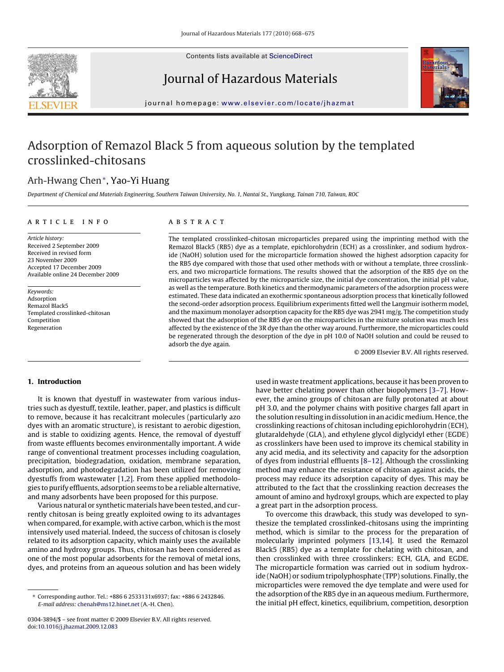

Contents lists available at [ScienceDirect](http://www.sciencedirect.com/science/journal/03043894)

# Journal of Hazardous Materials



journal homepage: [www.elsevier.com/locate/jhazmat](http://www.elsevier.com/locate/jhazmat)

# Adsorption of Remazol Black 5 from aqueous solution by the templated crosslinked-chitosans

# Arh-Hwang Chen∗, Yao-Yi Huang

Department of Chemical and Materials Engineering, Southern Taiwan University, No. 1, Nantai St., Yungkang, Tainan 710, Taiwan, ROC

### article info

Article history: Received 2 September 2009 Received in revised form 23 November 2009 Accepted 17 December 2009 Available online 24 December 2009

Keywords: Adsorption Remazol Black5 Templated crosslinked-chitosan Competition Regeneration

# **ABSTRACT**

The templated crosslinked-chitosan microparticles prepared using the imprinting method with the Remazol Black5 (RB5) dye as a template, epichlorohydrin (ECH) as a crosslinker, and sodium hydroxide (NaOH) solution used for the microparticle formation showed the highest adsorption capacity for the RB5 dye compared with those that used other methods with or without a template, three crosslinkers, and two microparticle formations. The results showed that the adsorption of the RB5 dye on the microparticles was affected by the microparticle size, the initial dye concentration, the initial pH value, as well as the temperature. Both kinetics and thermodynamic parameters of the adsorption process were estimated. These data indicated an exothermic spontaneous adsorption process that kinetically followed the second-order adsorption process. Equilibrium experiments fitted well the Langmuir isotherm model, and the maximum monolayer adsorption capacity for the RB5 dye was 2941 mg/g. The competition study showed that the adsorption of the RB5 dye on the microparticles in the mixture solution was much less affected by the existence of the 3R dye than the other way around. Furthermore, the microparticles could be regenerated through the desorption of the dye in pH 10.0 of NaOH solution and could be reused to adsorb the dye again.

© 2009 Elsevier B.V. All rights reserved.

# **1. Introduction**

It is known that dyestuff in wastewater from various industries such as dyestuff, textile, leather, paper, and plastics is difficult to remove, because it has recalcitrant molecules (particularly azo dyes with an aromatic structure), is resistant to aerobic digestion, and is stable to oxidizing agents. Hence, the removal of dyestuff from waste effluents becomes environmentally important. A wide range of conventional treatment processes including coagulation, precipitation, biodegradation, oxidation, membrane separation, adsorption, and photodegradation has been utilized for removing dyestuffs from wastewater [\[1,2\]. F](#page-6-0)rom these applied methodologies to purify effluents, adsorption seems to be a reliable alternative, and many adsorbents have been proposed for this purpose.

Various natural or synthetic materials have been tested, and currently chitosan is being greatly exploited owing to its advantages when compared, for example, with active carbon, which is the most intensively used material. Indeed, the success of chitosan is closely related to its adsorption capacity, which mainly uses the available amino and hydroxy groups. Thus, chitosan has been considered as one of the most popular adsorbents for the removal of metal ions, dyes, and proteins from an aqueous solution and has been widely used in waste treatment applications, because it has been proven to have better chelating power than other biopolymers [3-7]. However, the amino groups of chitosan are fully protonated at about pH 3.0, and the polymer chains with positive charges fall apart in the solution resulting in dissolution in an acidic medium. Hence, the crosslinking reactions of chitosan including epichlorohydrin (ECH), glutaraldehyde (GLA), and ethylene glycol diglycidyl ether (EGDE) as crosslinkers have been used to improve its chemical stability in any acid media, and its selectivity and capacity for the adsorption of dyes from industrial effluents [\[8–12\]. A](#page-7-0)lthough the crosslinking method may enhance the resistance of chitosan against acids, the process may reduce its adsorption capacity of dyes. This may be attributed to the fact that the crosslinking reaction decreases the amount of amino and hydroxyl groups, which are expected to play a great part in the adsorption process.

To overcome this drawback, this study was developed to synthesize the templated crosslinked-chitosans using the imprinting method, which is similar to the process for the preparation of molecularly imprinted polymers [\[13,14\].](#page-7-0) It used the Remazol Black5 (RB5) dye as a template for chelating with chitosan, and then crosslinked with three crosslinkers: ECH, GLA, and EGDE. The microparticle formation was carried out in sodium hydroxide (NaOH) or sodium tripolyphosphate (TPP) solutions. Finally, the microparticles were removed the dye template and were used for the adsorption of the RB5 dye in an aqueous medium. Furthermore, the initial pH effect, kinetics, equilibrium, competition, desorption

<sup>∗</sup> Corresponding author. Tel.: +886 6 2533131x6937; fax: +886 6 2432846. E-mail address: [chenah@ms12.hinet.net](mailto:chenah@ms12.hinet.net) (A.-H. Chen).

<sup>0304-3894/\$ –</sup> see front matter © 2009 Elsevier B.V. All rights reserved. doi:[10.1016/j.jhazmat.2009.12.083](dx.doi.org/10.1016/j.jhazmat.2009.12.083)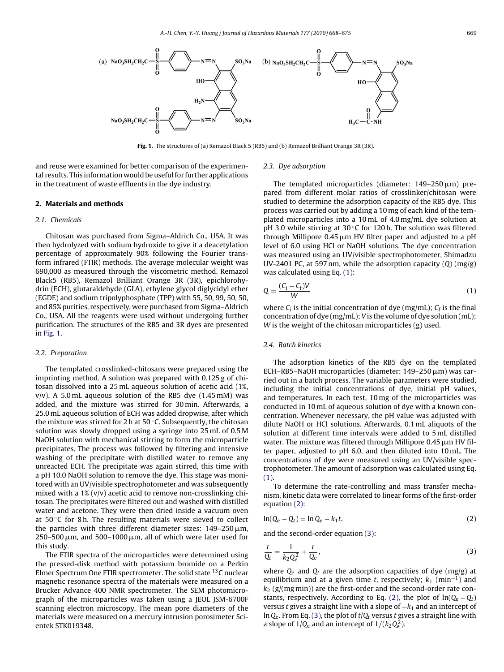<span id="page-1-0"></span>

**Fig. 1.** The structures of (a) Remazol Black 5 (RB5) and (b) Remazol Brilliant Orange 3R (3R).

and reuse were examined for better comparison of the experimental results. This information would be useful for further applications in the treatment of waste effluents in the dye industry.

# **2. Materials and methods**

#### 2.1. Chemicals

Chitosan was purchased from Sigma–Aldrich Co., USA. It was then hydrolyzed with sodium hydroxide to give it a deacetylation percentage of approximately 90% following the Fourier transform infrared (FTIR) methods. The average molecular weight was 690,000 as measured through the viscometric method. Remazol Black5 (RB5), Remazol Brilliant Orange 3R (3R), epichlorohydrin (ECH), glutaraldehyde (GLA), ethylene glycol diglycidyl ether (EGDE) and sodium tripolyphosphate (TPP) with 55, 50, 99, 50, 50, and 85% purities, respectively, were purchased from Sigma–Aldrich Co., USA. All the reagents were used without undergoing further purification. The structures of the RB5 and 3R dyes are presented in Fig. 1.

#### 2.2. Preparation

The templated crosslinked-chitosans were prepared using the imprinting method. A solution was prepared with 0.125 g of chitosan dissolved into a 25 mL aqueous solution of acetic acid (1%,  $v/v$ ). A 5.0 mL aqueous solution of the RB5 dye (1.45 mM) was added, and the mixture was stirred for 30 min. Afterwards, a 25.0 mL aqueous solution of ECH was added dropwise, after which the mixture was stirred for 2 h at  $50^{\circ}$ C. Subsequently, the chitosan solution was slowly dropped using a syringe into 25 mL of 0.5 M NaOH solution with mechanical stirring to form the microparticle precipitates. The process was followed by filtering and intensive washing of the precipitate with distilled water to remove any unreacted ECH. The precipitate was again stirred, this time with a pH 10.0 NaOH solution to remove the dye. This stage was monitored with an UV/visible spectrophotometer and was subsequently mixed with a 1% (v/v) acetic acid to remove non-crosslinking chitosan. The precipitates were filtered out and washed with distilled water and acetone. They were then dried inside a vacuum oven at  $50^{\circ}$ C for 8 h. The resulting materials were sieved to collect the particles with three different diameter sizes: 149–250 $\mu$ m,  $250$ – $500 \,\rm \mu m$ , and  $500$ – $1000 \,\rm \mu m$ , all of which were later used for this study.

The FTIR spectra of the microparticles were determined using the pressed-disk method with potassium bromide on a Perkin Elmer Spectrum One FTIR spectrometer. The solid state <sup>13</sup>C nuclear magnetic resonance spectra of the materials were measured on a Brucker Advance 400 NMR spectrometer. The SEM photomicrograph of the microparticles was taken using a JEOL JSM-6700F scanning electron microscopy. The mean pore diameters of the materials were measured on a mercury intrusion porosimeter Scientek STK019348.

#### 2.3. Dye adsorption

The templated microparticles (diameter:  $149-250 \,\rm \mu m)$  prepared from different molar ratios of crosslinker/chitosan were studied to determine the adsorption capacity of the RB5 dye. This process was carried out by adding a 10 mg of each kind of the templated microparticles into a 10 mL of 4.0 mg/mL dye solution at pH 3.0 while stirring at 30 $\degree$ C for 120 h. The solution was filtered through Millipore  $0.45 \,\mathrm{\upmu m}$  HV filter paper and adjusted to a pH level of 6.0 using HCl or NaOH solutions. The dye concentration was measured using an UV/visible spectrophotometer, Shimadzu UV-2401 PC, at 597 nm, while the adsorption capacity  $(0)$  (mg/g) was calculated using Eq. (1):

$$
Q = \frac{(C_i - C_f)V}{W} \tag{1}
$$

where  $C_i$  is the initial concentration of dye (mg/mL);  $C_f$  is the final concentration of dye (mg/mL); V is the volume of dye solution (mL); W is the weight of the chitosan microparticles (g) used.

### 2.4. Batch kinetics

The adsorption kinetics of the RB5 dye on the templated  $ECH-RB5-NaOH$  microparticles (diameter: 149–250  $\mu$ m) was carried out in a batch process. The variable parameters were studied, including the initial concentrations of dye, initial pH values, and temperatures. In each test, 10 mg of the microparticles was conducted in 10 mL of aqueous solution of dye with a known concentration. Whenever necessary, the pH value was adjusted with dilute NaOH or HCl solutions. Afterwards, 0.1 mL aliquots of the solution at different time intervals were added to 5 mL distilled water. The mixture was filtered through Millipore 0.45  $\mu$ m HV filter paper, adjusted to pH 6.0, and then diluted into 10 mL. The concentrations of dye were measured using an UV/visible spectrophotometer. The amount of adsorption was calculated using Eq.  $(1)$ 

To determine the rate-controlling and mass transfer mechanism, kinetic data were correlated to linear forms of the first-order equation (2):

$$
\ln(Q_e - Q_t) = \ln Q_e - k_1 t,\tag{2}
$$

and the second-order equation (3):

$$
\frac{t}{Q_t} = \frac{1}{k_2 Q_e^2} + \frac{t}{Q_e},
$$
\n(3)

where  $Q_e$  and  $Q_t$  are the adsorption capacities of dye (mg/g) at equilibrium and at a given time t, respectively;  $k_1$  (min<sup>-1</sup>) and  $k_2$  (g/(mg min)) are the first-order and the second-order rate constants, respectively. According to Eq. (2), the plot of  $ln(Q_e - Q_t)$ versus t gives a straight line with a slope of  $-k<sub>1</sub>$  and an intercept of  $\ln Q_e$ . From Eq. (3), the plot of  $t/Q_t$  versus t gives a straight line with a slope of  $1/Q_e$  and an intercept of  $1/(k_2 Q_e^2)$ .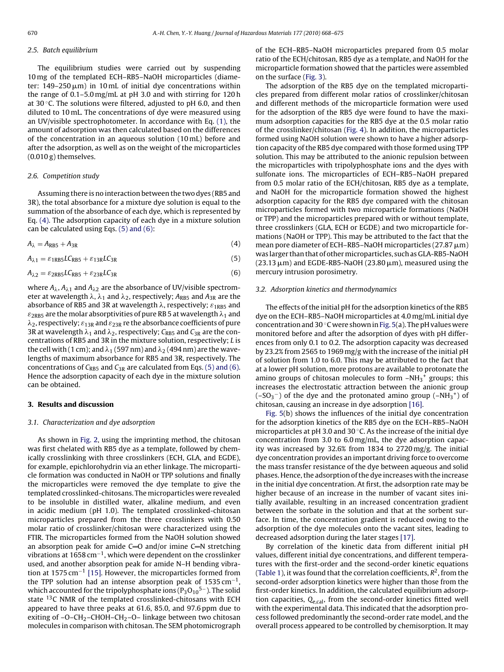#### 2.5. Batch equilibrium

The equilibrium studies were carried out by suspending 10 mg of the templated ECH–RB5–NaOH microparticles (diameter: 149–250 $\,\rm \mu m)$  in 10 $\,\rm m$ L of initial dye concentrations within the range of 0.1–5.0 mg/mL at pH 3.0 and with stirring for 120 h at 30 $\degree$ C. The solutions were filtered, adjusted to pH 6.0, and then diluted to 10 mL. The concentrations of dye were measured using an UV/visible spectrophotometer. In accordance with Eq. [\(1\), t](#page-1-0)he amount of adsorption was then calculated based on the differences of the concentration in an aqueous solution (10 mL) before and after the adsorption, as well as on the weight of the microparticles (0.010 g) themselves.

#### 2.6. Competition study

Assuming there is no interaction between the two dyes (RB5 and 3R), the total absorbance for a mixture dye solution is equal to the summation of the absorbance of each dye, which is represented by Eq. (4). The adsorption capacity of each dye in a mixture solution can be calculated using Eqs. (5) and (6):

$$
A_{\lambda} = A_{RB5} + A_{3R} \tag{4}
$$

 $A_{\lambda 1} = \varepsilon_{1RBS} LC_{RB5} + \varepsilon_{13R} LC_{3R}$  (5)

$$
A_{\lambda 2} = \varepsilon_{2RB5} LC_{RB5} + \varepsilon_{23R} LC_{3R}
$$
 (6)

where  $A_\lambda$ ,  $A_{\lambda 1}$  and  $A_{\lambda 2}$  are the absorbance of UV/visible spectrometer at wavelength  $\lambda$ ,  $\lambda_1$  and  $\lambda_2$ , respectively;  $A_{\text{RB}5}$  and  $A_{\text{3R}}$  are the absorbance of RB5 and 3R at wavelength  $\lambda$ , respectively;  $\varepsilon_{\rm 1RB5}$  and  $\varepsilon_{\rm 2RB5}$  are the molar absorptivities of pure RB 5 at wavelength  $\lambda_1$  and  $\lambda_2$ , respectively;  $\varepsilon_{13\mathtt{R}}$  and  $\varepsilon_{23\mathtt{R}}$  re the absorbance coefficients of pure 3R at wavelength  $\lambda_1$  and  $\lambda_2$ , respectively;  $C_{\mathsf{RB}5}$  and  $C_{\mathsf{3R}}$  are the concentrations of RB5 and 3R in the mixture solution, respectively; L is the cell with ( 1 cm); and  $\lambda_1$  (597 nm) and  $\lambda_2$  (494 nm) are the wavelengths of maximum absorbance for RB5 and 3R, respectively. The concentrations of  $C_{RB5}$  and  $C_{3R}$  are calculated from Eqs. (5) and (6). Hence the adsorption capacity of each dye in the mixture solution can be obtained.

### **3. Results and discussion**

#### 3.1. Characterization and dye adsorption

As shown in [Fig. 2,](#page-3-0) using the imprinting method, the chitosan was first chelated with RB5 dye as a template, followed by chemically crosslinking with three crosslinkers (ECH, GLA, and EGDE), for example, epichlorohydrin via an ether linkage. The microparticle formation was conducted in NaOH or TPP solutions and finally the microparticles were removed the dye template to give the templated crosslinked-chitosans. The microparticles were revealed to be insoluble in distilled water, alkaline medium, and even in acidic medium (pH 1.0). The templated crosslinked-chitosan microparticles prepared from the three crosslinkers with 0.50 molar ratio of crosslinker/chitosan were characterized using the FTIR. The microparticles formed from the NaOH solution showed an absorption peak for amide  $C=O$  and/or imine  $C=N$  stretching vibrations at 1658 cm<sup>-1</sup>, which were dependent on the crosslinker used, and another absorption peak for amide N–H bending vibra-tion at 1575 cm<sup>-1</sup> [\[15\]. H](#page-7-0)owever, the microparticles formed from the TPP solution had an intense absorption peak of 1535 cm<sup>-1</sup>, which accounted for the tripolyphosphate ions ( $P_3O_{10}^{5-}$ ). The solid state <sup>13</sup>C NMR of the templated crosslinked-chitosans with ECH appeared to have three peaks at 61.6, 85.0, and 97.6 ppm due to exiting of  $-O-CH_2-CHOH-CH_2-O-$  linkage between two chitosan molecules in comparison with chitosan. The SEM photomicrograph of the ECH–RB5–NaOH microparticles prepared from 0.5 molar ratio of the ECH/chitosan, RB5 dye as a template, and NaOH for the microparticle formation showed that the particles were assembled on the surface [\(Fig. 3\).](#page-4-0)

The adsorption of the RB5 dye on the templated microparticles prepared from different molar ratios of crosslinker/chitosan and different methods of the microparticle formation were used for the adsorption of the RB5 dye were found to have the maximum adsorption capacities for the RB5 dye at the 0.5 molar ratio of the crosslinker/chitosan ([Fig. 4\).](#page-4-0) In addition, the microparticles formed using NaOH solution were shown to have a higher adsorption capacity of the RB5 dye compared with those formed using TPP solution. This may be attributed to the anionic repulsion between the microparticles with tripolyphosphate ions and the dyes with sulfonate ions. The microparticles of ECH–RB5–NaOH prepared from 0.5 molar ratio of the ECH/chitosan, RB5 dye as a template, and NaOH for the microparticle formation showed the highest adsorption capacity for the RB5 dye compared with the chitosan microparticles formed with two microparticle formations (NaOH or TPP) and the microparticles prepared with or without template, three crosslinkers (GLA, ECH or EGDE) and two microparticle formations (NaOH or TPP). This may be attributed to the fact that the mean pore diameter of ECH–RB5–NaOH microparticles (27.87  $\mu$ m) was larger than that of other microparticles, such as GLA-RB5-NaOH  $(23.13 \,\rm \mu m)$  and EGDE-RB5-NaOH  $(23.80 \,\rm \mu m)$ , measured using the mercury intrusion porosimetry.

# 3.2. Adsorption kinetics and thermodynamics

The effects of the initial pH for the adsorption kinetics of the RB5 dye on the ECH–RB5–NaOH microparticles at 4.0 mg/mL initial dye concentration and 30 ℃ were shown in [Fig. 5\(a](#page-4-0)). The pH values were monitored before and after the adsorption of dyes with pH differences from only 0.1 to 0.2. The adsorption capacity was decreased by 23.2% from 2565 to 1969 mg/g with the increase of the initial pH of solution from 1.0 to 6.0. This may be attributed to the fact that at a lower pH solution, more protons are available to protonate the amino groups of chitosan molecules to form  $-NH_3$ <sup>+</sup> groups; this increases the electrostatic attraction between the anionic group  $(-SO_3^-)$  of the dye and the protonated amino group  $(-NH_3^+)$  of chitosan, causing an increase in dye adsorption [\[16\].](#page-7-0)

[Fig. 5\(b](#page-4-0)) shows the influences of the initial dye concentration for the adsorption kinetics of the RB5 dye on the ECH–RB5–NaOH microparticles at pH 3.0 and 30 ◦C. As the increase of the initial dye concentration from 3.0 to 6.0 mg/mL, the dye adsorption capacity was increased by 32.6% from 1834 to 2720 mg/g. The initial dye concentration provides an important driving force to overcome the mass transfer resistance of the dye between aqueous and solid phases. Hence, the adsorption of the dye increases with the increase in the initial dye concentration. At first, the adsorption rate may be higher because of an increase in the number of vacant sites initially available, resulting in an increased concentration gradient between the sorbate in the solution and that at the sorbent surface. In time, the concentration gradient is reduced owing to the adsorption of the dye molecules onto the vacant sites, leading to decreased adsorption during the later stages [\[17\].](#page-7-0)

By correlation of the kinetic data from different initial pH values, different initial dye concentrations, and different temperatures with the first-order and the second-order kinetic equations [\(Table 1\),](#page-4-0) it was found that the correlation coefficients,  $R^2$ , from the second-order adsorption kinetics were higher than those from the first-order kinetics. In addition, the calculated equilibrium adsorption capacities,  $Q_{e,cal}$ , from the second-order kinetics fitted well with the experimental data. This indicated that the adsorption process followed predominantly the second-order rate model, and the overall process appeared to be controlled by chemisorption. It may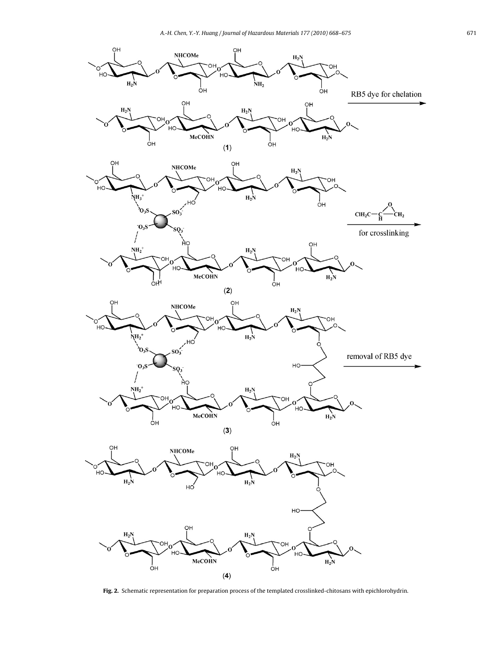<span id="page-3-0"></span>

**Fig. 2.** Schematic representation for preparation process of the templated crosslinked-chitosans with epichlorohydrin.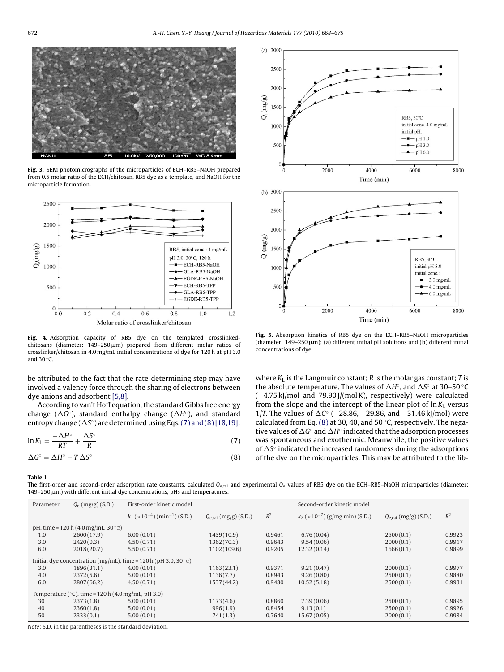<span id="page-4-0"></span>

**Fig. 3.** SEM photomicrographs of the microparticles of ECH–RB5–NaOH prepared from 0.5 molar ratio of the ECH/chitosan, RB5 dye as a template, and NaOH for the microparticle formation.



**Fig. 4.** Adsorption capacity of RB5 dye on the templated crosslinkedchitosans (diameter: 149–250 $\mu$ m) prepared from different molar ratios of crosslinker/chitosan in 4.0 mg/mL initial concentrations of dye for 120 h at pH 3.0 and  $30^\circ$ C.

be attributed to the fact that the rate-determining step may have involved a valency force through the sharing of electrons between dye anions and adsorbent [\[5,8\].](#page-7-0)

According to van't Hoff equation, the standard Gibbs free energy change ( $\Delta G$ °), standard enthalpy change ( $\Delta H$ °), and standard entropy change ( $\Delta S$ °) are determined using Eqs. (7) and (8) [\[18,19\]:](#page-7-0)

$$
\ln K_{\rm L} = \frac{-\Delta H^{\circ}}{RT} + \frac{\Delta S^{\circ}}{R} \tag{7}
$$

$$
\Delta G^{\circ} = \Delta H^{\circ} - T \, \Delta S^{\circ} \tag{8}
$$



**Fig. 5.** Absorption kinetics of RB5 dye on the ECH–RB5–NaOH microparticles (diameter:  $149-250 \,\mathrm{\mu m}$ ): (a) different initial pH solutions and (b) different initial concentrations of dye.

where  $K<sub>L</sub>$  is the Langmuir constant; R is the molar gas constant; T is the absolute temperature. The values of  $\Delta H^\circ$ , and  $\Delta S^\circ$  at 30–50 °C (−4.75 kJ/mol and 79.90 J/(mol K), respectively) were calculated from the slope and the intercept of the linear plot of  $\ln K_L$  versus 1/T. The values of  $\Delta G$ ° (−28.86, −29.86, and −31.46 kJ/mol) were calculated from Eq. (8) at 30, 40, and 50 $\degree$ C, respectively. The negative values of  $\Delta G^{\circ}$  and  $\Delta H^{\circ}$  indicated that the adsorption processes was spontaneous and exothermic. Meanwhile, the positive values of  $\Delta S^\circ$  indicated the increased randomness during the adsorptions of the dye on the microparticles. This may be attributed to the lib-

**Table 1**

The first-order and second-order adsorption rate constants, calculated  $Q_{e,cal}$  and experimental  $Q_{e}$  values of RB5 dye on the ECH–RB5–NaOH microparticles (diameter:  $149-250 \,\mathrm{\mu m}$ ) with different initial dye concentrations, pHs and temperatures.

| Parameter                                                         | $Q_e$ (mg/g) (S.D.) | First-order kinetic model                                       |                                  |        | Second-order kinetic model                          |                           |        |  |  |
|-------------------------------------------------------------------|---------------------|-----------------------------------------------------------------|----------------------------------|--------|-----------------------------------------------------|---------------------------|--------|--|--|
|                                                                   |                     | $k_1$ ( $\times$ 10 <sup>-4</sup> ) (min <sup>-1</sup> ) (S.D.) | $Q_{\text{e,cal}}$ (mg/g) (S.D.) | $R^2$  | $k_2$ ( $\times$ 10 <sup>-7</sup> )(g/mg min)(S.D.) | $Q_{e,cal}$ (mg/g) (S.D.) | $R^2$  |  |  |
| pH, time = $120 h$ (4.0 mg/mL, 30 °C)                             |                     |                                                                 |                                  |        |                                                     |                           |        |  |  |
| 1.0                                                               | 2600(17.9)          | 6.00(0.01)                                                      | 1439(10.9)                       | 0.9461 | 6.76(0.04)                                          | 2500(0.1)                 | 0.9923 |  |  |
| 3.0                                                               | 2420(0.3)           | 4.50(0.71)                                                      | 1362 (70.3)                      | 0.9643 | 9.54(0.06)                                          | 2000(0.1)                 | 0.9917 |  |  |
| 6.0                                                               | 2018(20.7)          | 5.50(0.71)                                                      | 1102 (109.6)                     | 0.9205 | 12.32(0.14)                                         | 1666(0.1)                 | 0.9899 |  |  |
| Initial dye concentration (mg/mL), time = $120 h$ (pH 3.0, 30 °C) |                     |                                                                 |                                  |        |                                                     |                           |        |  |  |
| 3.0                                                               | 1896(31.1)          | 4.00(0.01)                                                      | 1163(23.1)                       | 0.9371 | 9.21(0.47)                                          | 2000(0.1)                 | 0.9977 |  |  |
| 4.0                                                               | 2372(5.6)           | 5.00(0.01)                                                      | 1136(7.7)                        | 0.8943 | 9.26(0.80)                                          | 2500(0.1)                 | 0.9880 |  |  |
| 6.0                                                               | 2807(66.2)          | 4.50(0.71)                                                      | 1537 (44.2)                      | 0.9480 | 10.52(5.18)                                         | 2500(0.1)                 | 0.9931 |  |  |
| Temperature ( $\degree$ C), time = 120 h (4.0 mg/mL, pH 3.0)      |                     |                                                                 |                                  |        |                                                     |                           |        |  |  |
| 30                                                                | 2373(1.8)           | 5.00(0.01)                                                      | 1173(4.6)                        | 0.8860 | 7.39(0.06)                                          | 2500(0.1)                 | 0.9895 |  |  |
| 40                                                                | 2360(1.8)           | 5.00(0.01)                                                      | 996(1.9)                         | 0.8454 | 9.13(0.1)                                           | 2500(0.1)                 | 0.9926 |  |  |
| 50                                                                | 2333(0.1)           | 5.00(0.01)                                                      | 741(1.3)                         | 0.7640 | 15.67(0.05)                                         | 2000(0.1)                 | 0.9984 |  |  |

Note: S.D. in the parentheses is the standard deviation.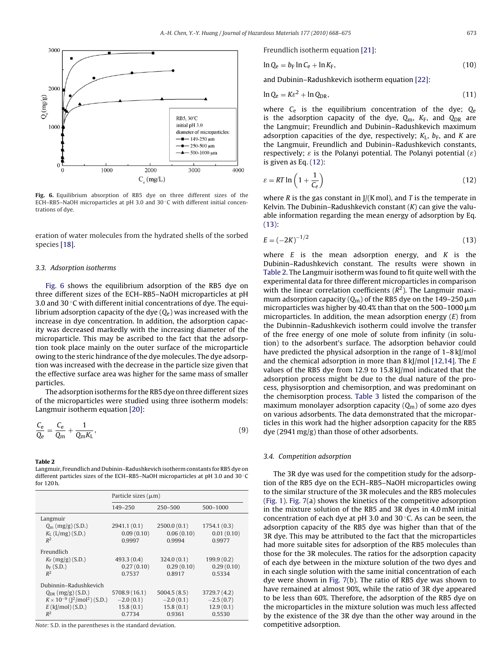

**Fig. 6.** Equilibrium absorption of RB5 dye on three different sizes of the ECH–RB5–NaOH microparticles at pH 3.0 and 30 ◦C with different initial concentrations of dye.

eration of water molecules from the hydrated shells of the sorbed species [\[18\].](#page-7-0)

#### 3.3. Adsorption isotherms

Fig. 6 shows the equilibrium adsorption of the RB5 dye on three different sizes of the ECH–RB5–NaOH microparticles at pH 3.0 and 30 ◦C with different initial concentrations of dye. The equilibrium adsorption capacity of the dye  $(Q_e)$  was increased with the increase in dye concentration. In addition, the adsorption capacity was decreased markedly with the increasing diameter of the microparticle. This may be ascribed to the fact that the adsorption took place mainly on the outer surface of the microparticle owing to the steric hindrance of the dye molecules. The dye adsorption was increased with the decrease in the particle size given that the effective surface area was higher for the same mass of smaller particles.

The adsorption isotherms for the RB5 dye on three different sizes of the microparticles were studied using three isotherm models: Langmuir isotherm equation [\[20\]:](#page-7-0)

$$
\frac{C_e}{Q_e} = \frac{C_e}{Q_m} + \frac{1}{Q_m K_L},\tag{9}
$$

#### **Table 2**

Langmuir, Freundlich and Dubinin–Radushkevich isotherm constants for RB5 dye on different particles sizes of the ECH–RB5–NaOH microparticles at pH 3.0 and 30 ◦C for 120 h.

|                                                       | Particle sizes $(\mu m)$ |             |              |  |  |
|-------------------------------------------------------|--------------------------|-------------|--------------|--|--|
|                                                       | $149 - 250$              | $250 - 500$ | 500-1000     |  |  |
| Langmuir                                              |                          |             |              |  |  |
| $Q_{\rm m}$ (mg/g) (S.D.)                             | 2941.1 (0.1)             | 2500.0(0.1) | 1754.1(0.3)  |  |  |
| $K_L$ (L/mg) (S.D.)                                   | 0.09(0.10)               | 0.06(0.10)  | 0.01(0.10)   |  |  |
| $R^2$                                                 | 0.9997                   | 0.9994      | 0.9977       |  |  |
| Freundlich                                            |                          |             |              |  |  |
| $K_F$ (mg/g) (S.D.)                                   | 493.3(0.4)               | 324.0(0.1)  | 199.9(0.2)   |  |  |
| $b_F(S.D.)$                                           | 0.27(0.10)               | 0.29(0.10)  | 0.29(0.10)   |  |  |
| $R^2$                                                 | 0.7537                   | 0.8917      | 0.5334       |  |  |
| Dubinnin-Radushkevich                                 |                          |             |              |  |  |
| $Q_{DR}$ (mg/g) (S.D.)                                | 5708.9 (16.1)            | 5004.5(8.5) | 3729.7 (4.2) |  |  |
| $K \times 10^{-9}$ ( $\lceil^2/\text{mol}^2$ ) (S.D.) | $-2.0(0.1)$              | $-2.0(0.1)$ | $-2.5(0.7)$  |  |  |
| $E$ (kJ/mol)(S.D.)                                    | 15.8(0.1)                | 15.8(0.1)   | 12.9(0.1)    |  |  |
| $R^2$                                                 | 0.7734                   | 0.9361      | 0.5530       |  |  |

Note: S.D. in the parentheses is the standard deviation.

Freundlich isotherm equation [\[21\]:](#page-7-0)

$$
\ln Q_e = b_F \ln C_e + \ln K_F, \tag{10}
$$

and Dubinin–Radushkevich isotherm equation [\[22\]:](#page-7-0)

$$
\ln Q_{\rm e} = K\varepsilon^2 + \ln Q_{\rm DR},\tag{11}
$$

where  $C_e$  is the equilibrium concentration of the dye;  $Q_e$ is the adsorption capacity of the dye,  $Q_m$ ,  $K_F$ , and  $Q_{DR}$  are the Langmuir; Freundlich and Dubinin–Radushkevich maximum adsorption capacities of the dye, respectively;  $K_L$ ,  $b_F$ , and K are the Langmuir, Freundlich and Dubinin–Radushkevich constants, respectively;  $\varepsilon$  is the Polanyi potential. The Polanyi potential  $(\varepsilon)$ is given as Eq. (12):

$$
\varepsilon = RT \ln \left( 1 + \frac{1}{C_e} \right) \tag{12}
$$

where R is the gas constant in  $J/(K \text{ mol})$ , and T is the temperate in Kelvin. The Dubinin–Radushkevich constant  $(K)$  can give the valuable information regarding the mean energy of adsorption by Eq. (13):

$$
E = (-2K)^{-1/2} \tag{13}
$$

where  $E$  is the mean adsorption energy, and  $K$  is the Dubinin–Radushkevich constant. The results were shown in Table 2. The Langmuir isotherm was found to fit quite well with the experimental data for three different microparticles in comparison with the linear correlation coefficients  $(R^2)$ . The Langmuir maximum adsorption capacity ( $Q_m$ ) of the RB5 dye on the 149–250  $\mu$ m microparticles was higher by 40.4% than that on the 500–1000  $\mu$ m microparticles. In addition, the mean adsorption energy (E) from the Dubinnin–Radushkevich isotherm could involve the transfer of the free energy of one mole of solute from infinity (in solution) to the adsorbent's surface. The adsorption behavior could have predicted the physical adsorption in the range of 1–8 kJ/mol and the chemical adsorption in more than 8 kJ/mol [\[12,14\]. T](#page-7-0)he E values of the RB5 dye from 12.9 to 15.8 kJ/mol indicated that the adsorption process might be due to the dual nature of the process, physisorption and chemisorption, and was predominant on the chemisorption process. [Table 3](#page-6-0) listed the comparison of the maximum monolayer adsorption capacity  $(Q_m)$  of some azo dyes on various adsorbents. The data demonstrated that the microparticles in this work had the higher adsorption capacity for the RB5 dye (2941 mg/g) than those of other adsorbents.

#### 3.4. Competition adsorption

The 3R dye was used for the competition study for the adsorption of the RB5 dye on the ECH–RB5–NaOH microparticles owing to the similar structure of the 3R molecules and the RB5 molecules [\(Fig. 1\).](#page-1-0) [Fig. 7\(a](#page-6-0)) shows the kinetics of the competitive adsorption in the mixture solution of the RB5 and 3R dyes in 4.0 mM initial concentration of each dye at pH 3.0 and 30 ◦C. As can be seen, the adsorption capacity of the RB5 dye was higher than that of the 3R dye. This may be attributed to the fact that the microparticles had more suitable sites for adsorption of the RB5 molecules than those for the 3R molecules. The ratios for the adsorption capacity of each dye between in the mixture solution of the two dyes and in each single solution with the same initial concentration of each dye were shown in [Fig. 7\(b](#page-6-0)). The ratio of RB5 dye was shown to have remained at almost 90%, while the ratio of 3R dye appeared to be less than 60%. Therefore, the adsorption of the RB5 dye on the microparticles in the mixture solution was much less affected by the existence of the 3R dye than the other way around in the competitive adsorption.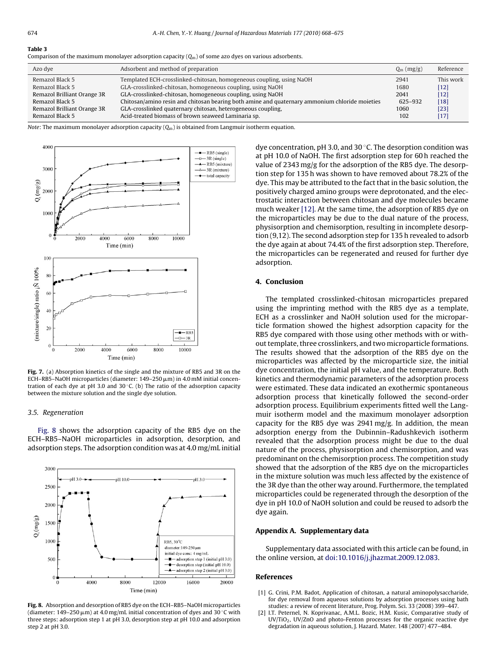#### <span id="page-6-0"></span>**Table 3**

Comparison of the maximum monolayer adsorption capacity  $(0<sub>m</sub>)$  of some azo dyes on various adsorbents.

| Azo dye                     | Adsorbent and method of preparation                                                            | $Q_m$ (mg/g) | Reference |
|-----------------------------|------------------------------------------------------------------------------------------------|--------------|-----------|
| Remazol Black 5             | Templated ECH-crosslinked-chitosan, homogeneous coupling, using NaOH                           | 2941         | This work |
| Remazol Black 5             | GLA-crosslinked-chitosan, homogeneous coupling, using NaOH                                     | 1680         | [12]      |
| Remazol Brilliant Orange 3R | GLA-crosslinked-chitosan, homogeneous coupling, using NaOH                                     | 2041         | $[12]$    |
| Remazol Black 5             | Chitosan/amino resin and chitosan bearing both amine and quaternary ammonium chloride moieties | 625-932      | $[18]$    |
| Remazol Brilliant Orange 3R | GLA-crosslinked quaternary chitosan, heterogeneous coupling,                                   | 1060         | $[23]$    |
| Remazol Black 5             | Acid-treated biomass of brown seaweed Laminaria sp.                                            | 102          | $[17]$    |

*Note*: The maximum monolayer adsorption capacity  $(Q_m)$  is obtained from Langmuir isotherm equation.



**Fig. 7.** (a) Absorption kinetics of the single and the mixture of RB5 and 3R on the ECH–RB5–NaOH microparticles (diameter: 149–250 μm) in 4.0 mM initial concentration of each dye at pH 3.0 and 30 $\degree$ C. (b) The ratio of the adsorption capacity between the mixture solution and the single dye solution.

#### 3.5. Regeneration

Fig. 8 shows the adsorption capacity of the RB5 dye on the ECH–RB5–NaOH microparticles in adsorption, desorption, and adsorption steps. The adsorption condition was at 4.0 mg/mL initial



**Fig. 8.** Absorption and desorption of RB5 dye on the ECH–RB5–NaOH microparticles (diameter: 149–250  $\mu$ m) at 4.0 mg/mL initial concentration of dyes and 30 °C with three steps: adsorption step 1 at pH 3.0, desorption step at pH 10.0 and adsorption step 2 at pH 3.0.

dye concentration, pH 3.0, and 30 ◦C. The desorption condition was at pH 10.0 of NaOH. The first adsorption step for 60 h reached the value of 2343 mg/g for the adsorption of the RB5 dye. The desorption step for 135 h was shown to have removed about 78.2% of the dye. This may be attributed to the fact that in the basic solution, the positively charged amino groups were deprotonated, and the electrostatic interaction between chitosan and dye molecules became much weaker [\[12\]. A](#page-7-0)t the same time, the adsorption of RB5 dye on the microparticles may be due to the dual nature of the process, physisorption and chemisorption, resulting in incomplete desorption (9,12). The second adsorption step for 135 h revealed to adsorb the dye again at about 74.4% of the first adsorption step. Therefore, the microparticles can be regenerated and reused for further dye adsorption.

#### **4. Conclusion**

The templated crosslinked-chitosan microparticles prepared using the imprinting method with the RB5 dye as a template, ECH as a crosslinker and NaOH solution used for the microparticle formation showed the highest adsorption capacity for the RB5 dye compared with those using other methods with or without template, three crosslinkers, and two microparticle formations. The results showed that the adsorption of the RB5 dye on the microparticles was affected by the microparticle size, the initial dye concentration, the initial pH value, and the temperature. Both kinetics and thermodynamic parameters of the adsorption process were estimated. These data indicated an exothermic spontaneous adsorption process that kinetically followed the second-order adsorption process. Equilibrium experiments fitted well the Langmuir isotherm model and the maximum monolayer adsorption capacity for the RB5 dye was 2941 mg/g. In addition, the mean adsorption energy from the Dubinnin–Radushkevich isotherm revealed that the adsorption process might be due to the dual nature of the process, physisorption and chemisorption, and was predominant on the chemisorption process. The competition study showed that the adsorption of the RB5 dye on the microparticles in the mixture solution was much less affected by the existence of the 3R dye than the other way around. Furthermore, the templated microparticles could be regenerated through the desorption of the dye in pH 10.0 of NaOH solution and could be reused to adsorb the dye again.

#### **Appendix A. Supplementary data**

Supplementary data associated with this article can be found, in the online version, at [doi:10.1016/j.jhazmat.2009.12.083.](http://dx.doi.org/10.1016/j.jhazmat.2009.12.083)

#### **References**

- [1] G. Crini, P.M. Badot, Application of chitosan, a natural aminopolysaccharide, for dye removal from aqueous solutions by adsorption processes using bath studies: a review of recent literature, Prog. Polym. Sci. 33 (2008) 399–447.
- [2] I.T. Peternel, N. Koprivanac, A.M.L. Bozic, H.M. Kusic, Comparative study of UV/TiO2, UV/ZnO and photo-Fenton processes for the organic reactive dye degradation in aqueous solution, J. Hazard. Mater. 148 (2007) 477–484.